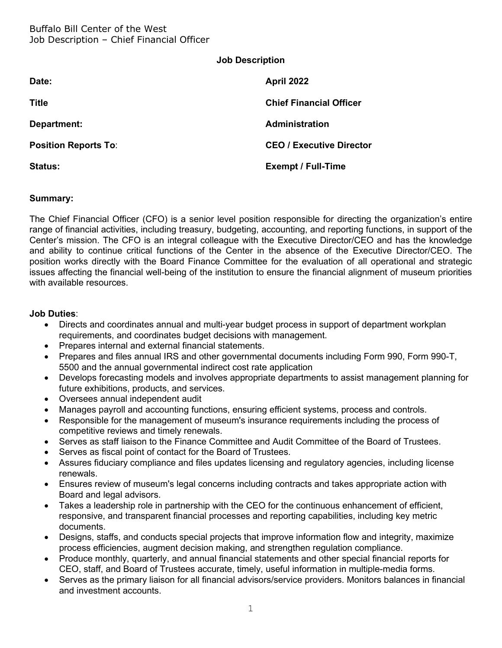| <b>Job Description</b> |  |
|------------------------|--|
|------------------------|--|

| Date:                       | <b>April 2022</b>               |
|-----------------------------|---------------------------------|
| <b>Title</b>                | <b>Chief Financial Officer</b>  |
| Department:                 | <b>Administration</b>           |
| <b>Position Reports To:</b> | <b>CEO / Executive Director</b> |
| <b>Status:</b>              | <b>Exempt / Full-Time</b>       |

## **Summary:**

The Chief Financial Officer (CFO) is a senior level position responsible for directing the organization's entire range of financial activities, including treasury, budgeting, accounting, and reporting functions, in support of the Center's mission. The CFO is an integral colleague with the Executive Director/CEO and has the knowledge and ability to continue critical functions of the Center in the absence of the Executive Director/CEO. The position works directly with the Board Finance Committee for the evaluation of all operational and strategic issues affecting the financial well-being of the institution to ensure the financial alignment of museum priorities with available resources.

#### **Job Duties**:

- Directs and coordinates annual and multi-year budget process in support of department workplan requirements, and coordinates budget decisions with management.
- Prepares internal and external financial statements.
- Prepares and files annual IRS and other governmental documents including Form 990, Form 990-T, 5500 and the annual governmental indirect cost rate application
- Develops forecasting models and involves appropriate departments to assist management planning for future exhibitions, products, and services.
- Oversees annual independent audit
- Manages payroll and accounting functions, ensuring efficient systems, process and controls.
- Responsible for the management of museum's insurance requirements including the process of competitive reviews and timely renewals.
- Serves as staff liaison to the Finance Committee and Audit Committee of the Board of Trustees.
- Serves as fiscal point of contact for the Board of Trustees.
- Assures fiduciary compliance and files updates licensing and regulatory agencies, including license renewals.
- Ensures review of museum's legal concerns including contracts and takes appropriate action with Board and legal advisors.
- Takes a leadership role in partnership with the CEO for the continuous enhancement of efficient, responsive, and transparent financial processes and reporting capabilities, including key metric documents.
- Designs, staffs, and conducts special projects that improve information flow and integrity, maximize process efficiencies, augment decision making, and strengthen regulation compliance.
- Produce monthly, quarterly, and annual financial statements and other special financial reports for CEO, staff, and Board of Trustees accurate, timely, useful information in multiple-media forms.
- Serves as the primary liaison for all financial advisors/service providers. Monitors balances in financial and investment accounts.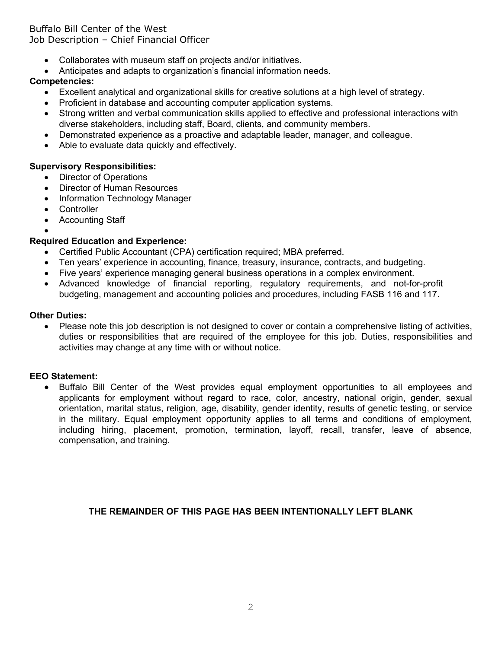## Buffalo Bill Center of the West Job Description – Chief Financial Officer

- Collaborates with museum staff on projects and/or initiatives.
- Anticipates and adapts to organization's financial information needs.

# **Competencies:**

- Excellent analytical and organizational skills for creative solutions at a high level of strategy.
- Proficient in database and accounting computer application systems.
- Strong written and verbal communication skills applied to effective and professional interactions with diverse stakeholders, including staff, Board, clients, and community members.
- Demonstrated experience as a proactive and adaptable leader, manager, and colleague.
- Able to evaluate data quickly and effectively.

## **Supervisory Responsibilities:**

- Director of Operations
- Director of Human Resources
- Information Technology Manager
- Controller
- Accounting Staff

#### •

# **Required Education and Experience:**

- Certified Public Accountant (CPA) certification required; MBA preferred.
- Ten years' experience in accounting, finance, treasury, insurance, contracts, and budgeting.
- Five years' experience managing general business operations in a complex environment.
- Advanced knowledge of financial reporting, regulatory requirements, and not-for-profit budgeting, management and accounting policies and procedures, including FASB 116 and 117.

## **Other Duties:**

• Please note this job description is not designed to cover or contain a comprehensive listing of activities, duties or responsibilities that are required of the employee for this job. Duties, responsibilities and activities may change at any time with or without notice.

# **EEO Statement:**

• Buffalo Bill Center of the West provides equal employment opportunities to all employees and applicants for employment without regard to race, color, ancestry, national origin, gender, sexual orientation, marital status, religion, age, disability, gender identity, results of genetic testing, or service in the military. Equal employment opportunity applies to all terms and conditions of employment, including hiring, placement, promotion, termination, layoff, recall, transfer, leave of absence, compensation, and training.

#### **THE REMAINDER OF THIS PAGE HAS BEEN INTENTIONALLY LEFT BLANK**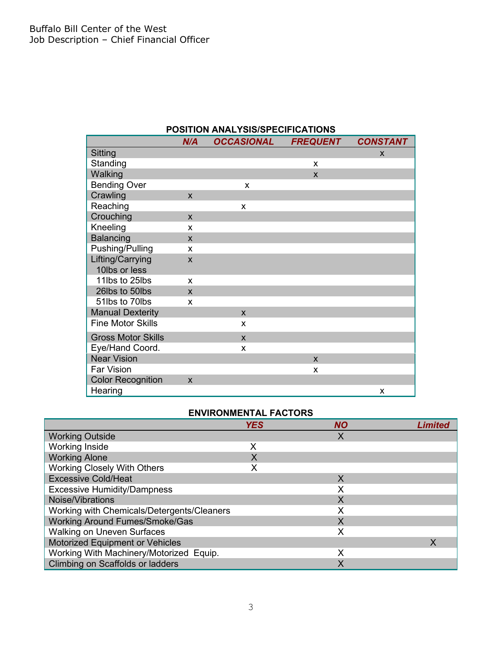|                           | N/A                     | <b>OCCASIONAL</b>       | <b>FREQUENT</b> | <b>CONSTANT</b> |  |
|---------------------------|-------------------------|-------------------------|-----------------|-----------------|--|
| Sitting                   |                         |                         |                 | X               |  |
| Standing                  |                         |                         | X               |                 |  |
| Walking                   |                         |                         | $\mathsf{x}$    |                 |  |
| <b>Bending Over</b>       |                         | X                       |                 |                 |  |
| Crawling                  | $\mathsf{x}$            |                         |                 |                 |  |
| Reaching                  |                         | X                       |                 |                 |  |
| Crouching                 | $\mathbf{x}$            |                         |                 |                 |  |
| Kneeling                  | X                       |                         |                 |                 |  |
| <b>Balancing</b>          | $\mathbf{x}$            |                         |                 |                 |  |
| Pushing/Pulling           | X                       |                         |                 |                 |  |
| Lifting/Carrying          | $\overline{\mathsf{x}}$ |                         |                 |                 |  |
| 10lbs or less             |                         |                         |                 |                 |  |
| 11lbs to 25lbs            | X                       |                         |                 |                 |  |
| 26lbs to 50lbs            | $\mathbf x$             |                         |                 |                 |  |
| 51lbs to 70lbs            | X                       |                         |                 |                 |  |
| <b>Manual Dexterity</b>   |                         | $\mathsf{x}$            |                 |                 |  |
| <b>Fine Motor Skills</b>  |                         | X                       |                 |                 |  |
| <b>Gross Motor Skills</b> |                         | $\overline{\mathsf{x}}$ |                 |                 |  |
| Eye/Hand Coord.           |                         | X                       |                 |                 |  |
| <b>Near Vision</b>        |                         |                         | X               |                 |  |
| Far Vision                |                         |                         | X               |                 |  |
| <b>Color Recognition</b>  | $\mathsf{x}$            |                         |                 |                 |  |
| Hearing                   |                         |                         |                 | X               |  |

# **POSITION ANALYSIS/SPECIFICATIONS**

## **ENVIRONMENTAL FACTORS**

|                                            | <b>YES</b> | <b>NO</b> | Limiteo |
|--------------------------------------------|------------|-----------|---------|
| <b>Working Outside</b>                     |            | Χ         |         |
| <b>Working Inside</b>                      | х          |           |         |
| <b>Working Alone</b>                       |            |           |         |
| <b>Working Closely With Others</b>         |            |           |         |
| <b>Excessive Cold/Heat</b>                 |            | X         |         |
| <b>Excessive Humidity/Dampness</b>         |            | Х         |         |
| Noise/Vibrations                           |            | Χ         |         |
| Working with Chemicals/Detergents/Cleaners |            |           |         |
| <b>Working Around Fumes/Smoke/Gas</b>      |            | X         |         |
| <b>Walking on Uneven Surfaces</b>          |            | Χ         |         |
| Motorized Equipment or Vehicles            |            |           | X       |
| Working With Machinery/Motorized Equip.    |            | Χ         |         |
| Climbing on Scaffolds or ladders           |            |           |         |